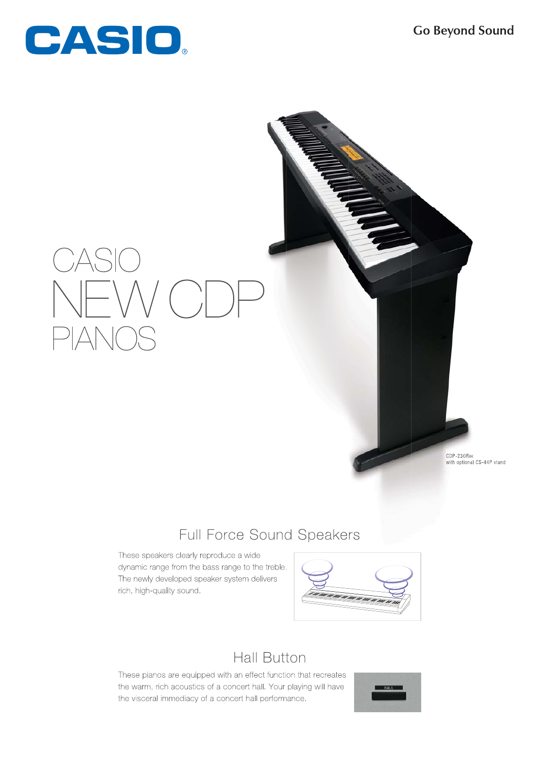

CDP-230RBK<br>with optional CS-44P stand

# Full Force Sound Speakers

These speakers clearly reproduce a wide dynamic range from the bass range to the treble. The newly developed speaker system delivers rich, high-quality sound.



## **Hall Button**

These pianos are equipped with an effect function that recreates the warm, rich acoustics of a concert hall. Your playing will have the visceral immediacy of a concert hall performance.